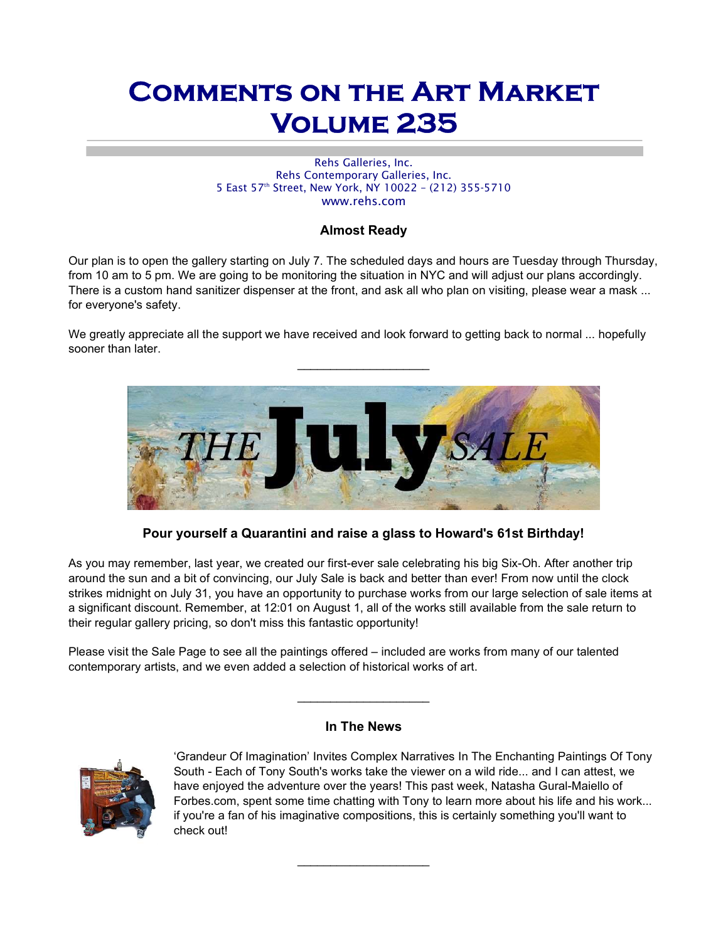# Comments on the Art Market Volume 235

Rehs Galleries, Inc. Rehs Contemporary Galleries, Inc. 5 East 57th Street, New York, NY 10022 – (212) 355-5710 www.rehs.com

# Almost Ready

Our plan is to open the gallery starting on July 7. The scheduled days and hours are Tuesday through Thursday, from 10 am to 5 pm. We are going to be monitoring the situation in NYC and will adjust our plans accordingly. There is a custom hand sanitizer dispenser at the front, and ask all who plan on visiting, please wear a mask ... for everyone's safety.

We greatly appreciate all the support we have received and look forward to getting back to normal ... hopefully sooner than later.



# Pour yourself a Quarantini and raise a glass to Howard's 61st Birthday!

As you may remember, last year, we created our first-ever sale celebrating his big Six-Oh. After another trip around the sun and a bit of convincing, our July Sale is back and better than ever! From now until the clock strikes midnight on July 31, you have an opportunity to purchase works from our large selection of sale items at a significant discount. Remember, at 12:01 on August 1, all of the works still available from the sale return to their regular gallery pricing, so don't miss this fantastic opportunity!

Please visit the Sale Page to see all the paintings offered – included are works from many of our talented contemporary artists, and we even added a selection of historical works of art.

# In The News

 $\overline{\phantom{a}}$  . The set of the set of the set of the set of the set of the set of the set of the set of the set of the set of the set of the set of the set of the set of the set of the set of the set of the set of the set o



'Grandeur Of Imagination' Invites Complex Narratives In The Enchanting Paintings Of Tony South - Each of Tony South's works take the viewer on a wild ride... and I can attest, we have enjoyed the adventure over the years! This past week, Natasha Gural-Maiello of Forbes.com, spent some time chatting with Tony to learn more about his life and his work... if you're a fan of his imaginative compositions, this is certainly something you'll want to check out!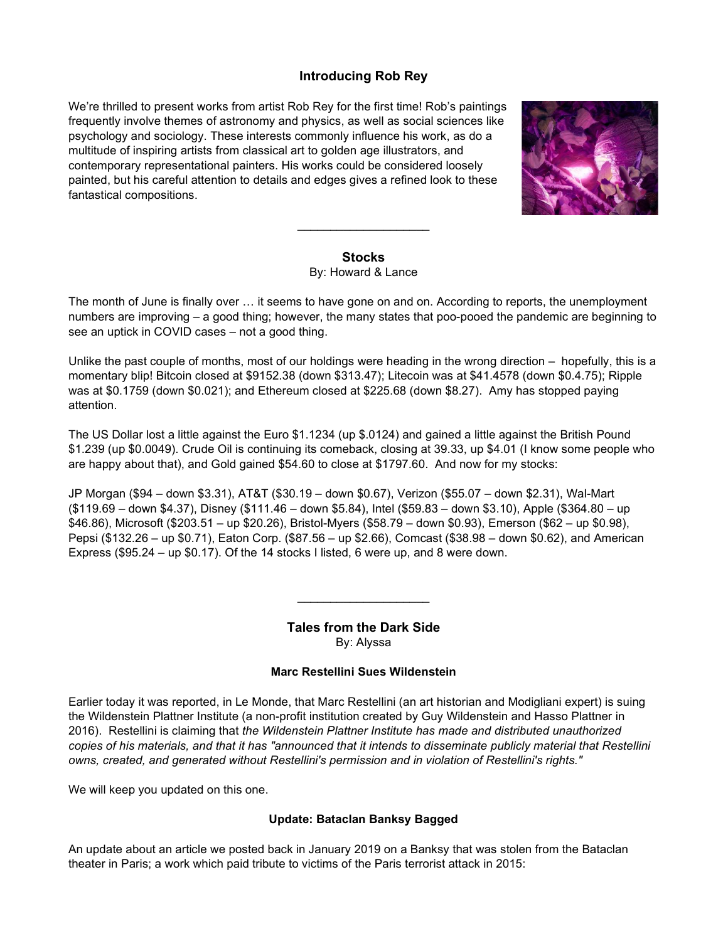# Introducing Rob Rey

We're thrilled to present works from artist Rob Rey for the first time! Rob's paintings frequently involve themes of astronomy and physics, as well as social sciences like psychology and sociology. These interests commonly influence his work, as do a multitude of inspiring artists from classical art to golden age illustrators, and contemporary representational painters. His works could be considered loosely painted, but his careful attention to details and edges gives a refined look to these fantastical compositions.



## Stocks By: Howard & Lance

 $\mathcal{L}_\text{max}$  , we are the set of the set of the set of the set of the set of the set of the set of the set of the set of the set of the set of the set of the set of the set of the set of the set of the set of the set of

The month of June is finally over … it seems to have gone on and on. According to reports, the unemployment numbers are improving – a good thing; however, the many states that poo-pooed the pandemic are beginning to see an uptick in COVID cases – not a good thing.

Unlike the past couple of months, most of our holdings were heading in the wrong direction – hopefully, this is a momentary blip! Bitcoin closed at \$9152.38 (down \$313.47); Litecoin was at \$41.4578 (down \$0.4.75); Ripple was at \$0.1759 (down \$0.021); and Ethereum closed at \$225.68 (down \$8.27). Amy has stopped paying attention.

The US Dollar lost a little against the Euro \$1.1234 (up \$.0124) and gained a little against the British Pound \$1.239 (up \$0.0049). Crude Oil is continuing its comeback, closing at 39.33, up \$4.01 (I know some people who are happy about that), and Gold gained \$54.60 to close at \$1797.60. And now for my stocks:

JP Morgan (\$94 – down \$3.31), AT&T (\$30.19 – down \$0.67), Verizon (\$55.07 – down \$2.31), Wal-Mart (\$119.69 – down \$4.37), Disney (\$111.46 – down \$5.84), Intel (\$59.83 – down \$3.10), Apple (\$364.80 – up \$46.86), Microsoft (\$203.51 – up \$20.26), Bristol-Myers (\$58.79 – down \$0.93), Emerson (\$62 – up \$0.98), Pepsi (\$132.26 – up \$0.71), Eaton Corp. (\$87.56 – up \$2.66), Comcast (\$38.98 – down \$0.62), and American Express (\$95.24 – up \$0.17). Of the 14 stocks I listed, 6 were up, and 8 were down.

> Tales from the Dark Side By: Alyssa

 $\mathcal{L}_\text{max}$  , we are the set of the set of the set of the set of the set of the set of the set of the set of the set of the set of the set of the set of the set of the set of the set of the set of the set of the set of

## Marc Restellini Sues Wildenstein

Earlier today it was reported, in Le Monde, that Marc Restellini (an art historian and Modigliani expert) is suing the Wildenstein Plattner Institute (a non-profit institution created by Guy Wildenstein and Hasso Plattner in 2016). Restellini is claiming that the Wildenstein Plattner Institute has made and distributed unauthorized copies of his materials, and that it has "announced that it intends to disseminate publicly material that Restellini owns, created, and generated without Restellini's permission and in violation of Restellini's rights."

We will keep you updated on this one.

## Update: Bataclan Banksy Bagged

An update about an article we posted back in January 2019 on a Banksy that was stolen from the Bataclan theater in Paris; a work which paid tribute to victims of the Paris terrorist attack in 2015: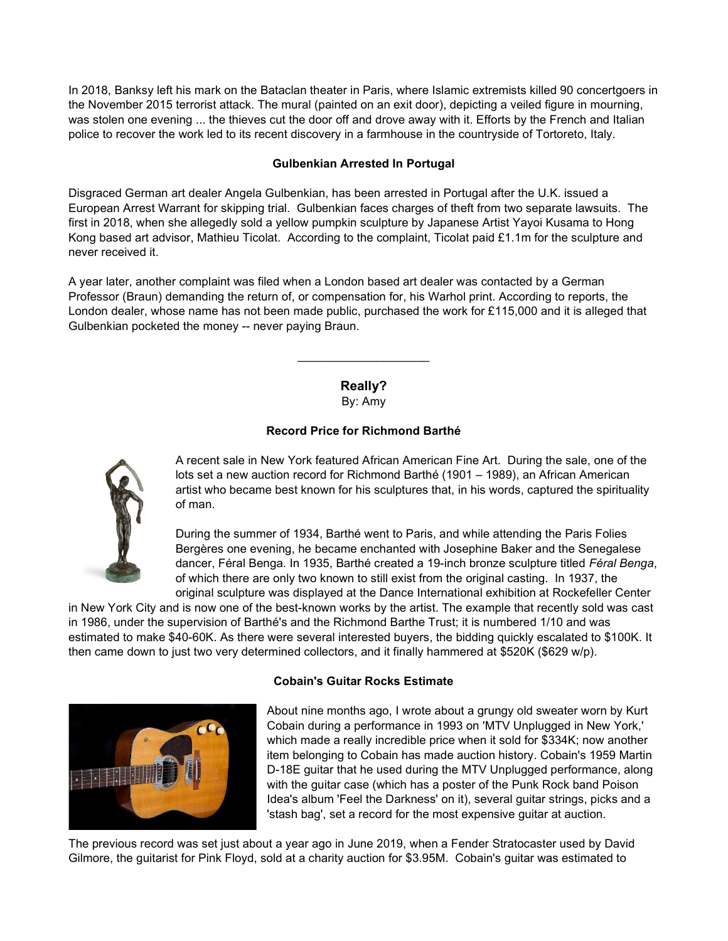In 2018, Banksy left his mark on the Bataclan theater in Paris, where Islamic extremists killed 90 concertgoers in the November 2015 terrorist attack. The mural (painted on an exit door), depicting a veiled figure in mourning, was stolen one evening ... the thieves cut the door off and drove away with it. Efforts by the French and Italian police to recover the work led to its recent discovery in a farmhouse in the countryside of Tortoreto, Italy.

#### Gulbenkian Arrested In Portugal

Disgraced German art dealer Angela Gulbenkian, has been arrested in Portugal after the U.K. issued a European Arrest Warrant for skipping trial. Gulbenkian faces charges of theft from two separate lawsuits. The first in 2018, when she allegedly sold a yellow pumpkin sculpture by Japanese Artist Yayoi Kusama to Hong Kong based art advisor, Mathieu Ticolat. According to the complaint, Ticolat paid £1.1m for the sculpture and never received it.

A year later, another complaint was filed when a London based art dealer was contacted by a German Professor (Braun) demanding the return of, or compensation for, his Warhol print. According to reports, the London dealer, whose name has not been made public, purchased the work for £115,000 and it is alleged that Gulbenkian pocketed the money -- never paying Braun.

Really?

By: Amy

## Record Price for Richmond Barthé



A recent sale in New York featured African American Fine Art. During the sale, one of the lots set a new auction record for Richmond Barthé (1901 – 1989), an African American artist who became best known for his sculptures that, in his words, captured the spirituality of man.

During the summer of 1934, Barthé went to Paris, and while attending the Paris Folies Bergères one evening, he became enchanted with Josephine Baker and the Senegalese dancer, Féral Benga. In 1935, Barthé created a 19-inch bronze sculpture titled Féral Benga, of which there are only two known to still exist from the original casting. In 1937, the original sculpture was displayed at the Dance International exhibition at Rockefeller Center

in New York City and is now one of the best-known works by the artist. The example that recently sold was cast in 1986, under the supervision of Barthé's and the Richmond Barthe Trust; it is numbered 1/10 and was estimated to make \$40-60K. As there were several interested buyers, the bidding quickly escalated to \$100K. It then came down to just two very determined collectors, and it finally hammered at \$520K (\$629 w/p).



#### Cobain's Guitar Rocks Estimate

About nine months ago, I wrote about a grungy old sweater worn by Kurt Cobain during a performance in 1993 on 'MTV Unplugged in New York,' which made a really incredible price when it sold for \$334K; now another item belonging to Cobain has made auction history. Cobain's 1959 Martin D-18E guitar that he used during the MTV Unplugged performance, along with the guitar case (which has a poster of the Punk Rock band Poison Idea's album 'Feel the Darkness' on it), several guitar strings, picks and a 'stash bag', set a record for the most expensive guitar at auction.

The previous record was set just about a year ago in June 2019, when a Fender Stratocaster used by David Gilmore, the guitarist for Pink Floyd, sold at a charity auction for \$3.95M. Cobain's guitar was estimated to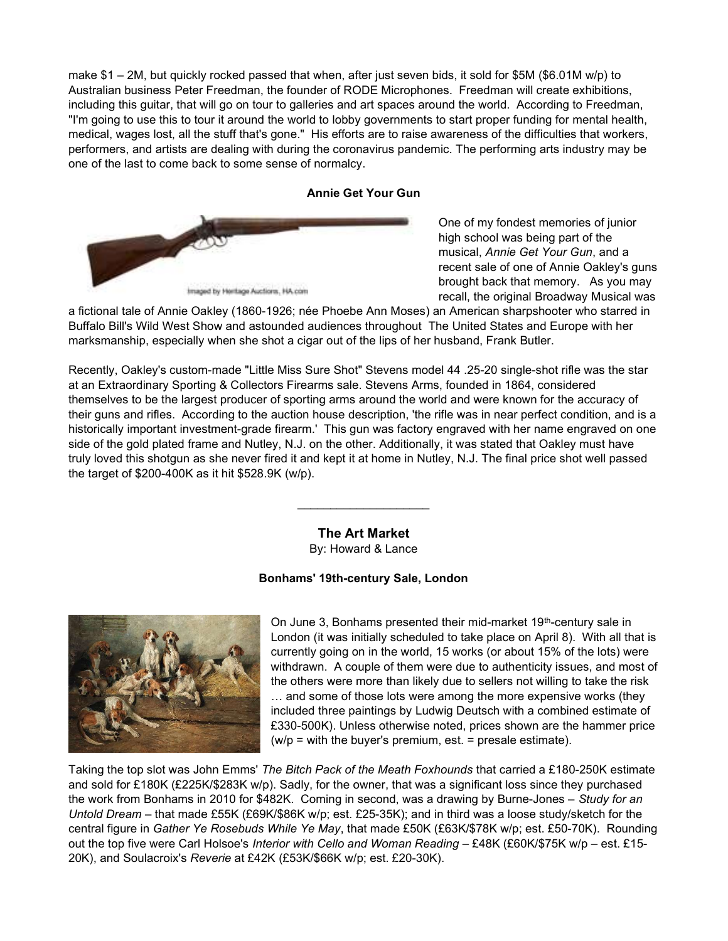make \$1 – 2M, but quickly rocked passed that when, after just seven bids, it sold for \$5M (\$6.01M w/p) to Australian business Peter Freedman, the founder of RODE Microphones. Freedman will create exhibitions, including this guitar, that will go on tour to galleries and art spaces around the world. According to Freedman, "I'm going to use this to tour it around the world to lobby governments to start proper funding for mental health, medical, wages lost, all the stuff that's gone." His efforts are to raise awareness of the difficulties that workers, performers, and artists are dealing with during the coronavirus pandemic. The performing arts industry may be one of the last to come back to some sense of normalcy.

## Annie Get Your Gun



One of my fondest memories of junior high school was being part of the musical, Annie Get Your Gun, and a recent sale of one of Annie Oakley's guns brought back that memory. As you may recall, the original Broadway Musical was

a fictional tale of Annie Oakley (1860-1926; née Phoebe Ann Moses) an American sharpshooter who starred in Buffalo Bill's Wild West Show and astounded audiences throughout The United States and Europe with her marksmanship, especially when she shot a cigar out of the lips of her husband, Frank Butler.

Recently, Oakley's custom-made "Little Miss Sure Shot" Stevens model 44 .25-20 single-shot rifle was the star at an Extraordinary Sporting & Collectors Firearms sale. Stevens Arms, founded in 1864, considered themselves to be the largest producer of sporting arms around the world and were known for the accuracy of their guns and rifles. According to the auction house description, 'the rifle was in near perfect condition, and is a historically important investment-grade firearm.' This gun was factory engraved with her name engraved on one side of the gold plated frame and Nutley, N.J. on the other. Additionally, it was stated that Oakley must have truly loved this shotgun as she never fired it and kept it at home in Nutley, N.J. The final price shot well passed the target of \$200-400K as it hit \$528.9K (w/p).

> The Art Market By: Howard & Lance

 $\overline{\phantom{a}}$  . The set of the set of the set of the set of the set of the set of the set of the set of the set of the set of the set of the set of the set of the set of the set of the set of the set of the set of the set o

## Bonhams' 19th-century Sale, London



On June 3, Bonhams presented their mid-market 19<sup>th</sup>-century sale in London (it was initially scheduled to take place on April 8). With all that is currently going on in the world, 15 works (or about 15% of the lots) were withdrawn. A couple of them were due to authenticity issues, and most of the others were more than likely due to sellers not willing to take the risk … and some of those lots were among the more expensive works (they included three paintings by Ludwig Deutsch with a combined estimate of £330-500K). Unless otherwise noted, prices shown are the hammer price  $(w/p =$  with the buyer's premium, est. = presale estimate).

Taking the top slot was John Emms' The Bitch Pack of the Meath Foxhounds that carried a £180-250K estimate and sold for £180K (£225K/\$283K w/p). Sadly, for the owner, that was a significant loss since they purchased the work from Bonhams in 2010 for \$482K. Coming in second, was a drawing by Burne-Jones – Study for an Untold Dream – that made £55K (£69K/\$86K w/p; est. £25-35K); and in third was a loose study/sketch for the central figure in Gather Ye Rosebuds While Ye May, that made £50K (£63K/\$78K w/p; est. £50-70K). Rounding out the top five were Carl Holsoe's Interior with Cello and Woman Reading - £48K (£60K/\$75K w/p - est. £15-20K), and Soulacroix's Reverie at £42K (£53K/\$66K w/p; est. £20-30K).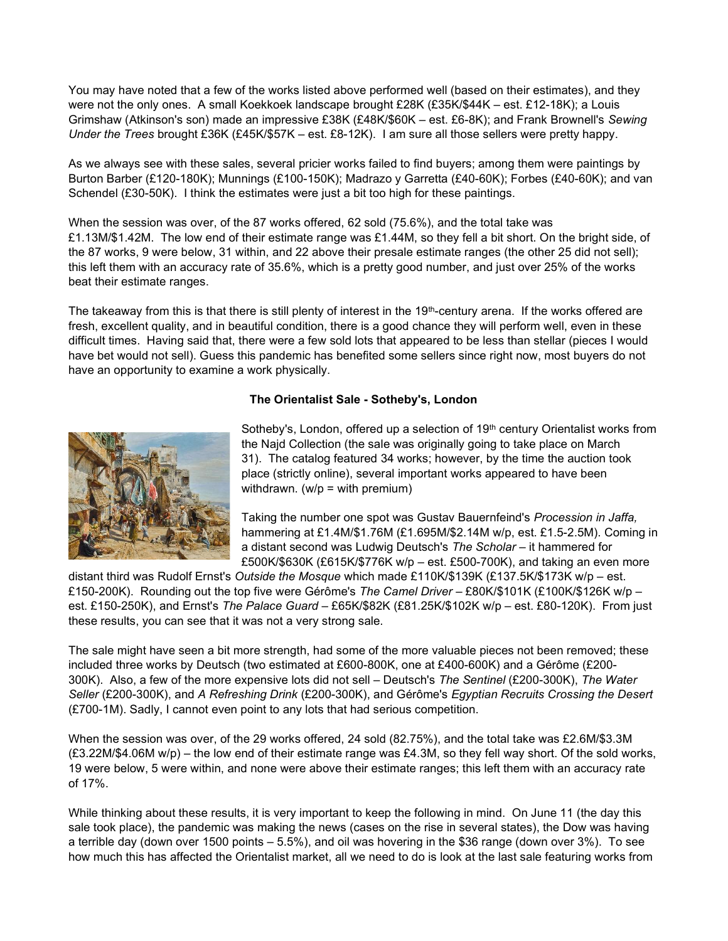You may have noted that a few of the works listed above performed well (based on their estimates), and they were not the only ones. A small Koekkoek landscape brought £28K (£35K/\$44K – est. £12-18K); a Louis Grimshaw (Atkinson's son) made an impressive £38K (£48K/\$60K – est. £6-8K); and Frank Brownell's Sewing Under the Trees brought £36K (£45K/\$57K – est. £8-12K). I am sure all those sellers were pretty happy.

As we always see with these sales, several pricier works failed to find buyers; among them were paintings by Burton Barber (£120-180K); Munnings (£100-150K); Madrazo y Garretta (£40-60K); Forbes (£40-60K); and van Schendel (£30-50K). I think the estimates were just a bit too high for these paintings.

When the session was over, of the 87 works offered, 62 sold (75.6%), and the total take was £1.13M/\$1.42M. The low end of their estimate range was £1.44M, so they fell a bit short. On the bright side, of the 87 works, 9 were below, 31 within, and 22 above their presale estimate ranges (the other 25 did not sell); this left them with an accuracy rate of 35.6%, which is a pretty good number, and just over 25% of the works beat their estimate ranges.

The takeaway from this is that there is still plenty of interest in the 19<sup>th</sup>-century arena. If the works offered are fresh, excellent quality, and in beautiful condition, there is a good chance they will perform well, even in these difficult times. Having said that, there were a few sold lots that appeared to be less than stellar (pieces I would have bet would not sell). Guess this pandemic has benefited some sellers since right now, most buyers do not have an opportunity to examine a work physically.

#### The Orientalist Sale - Sotheby's, London



Sotheby's, London, offered up a selection of  $19<sup>th</sup>$  century Orientalist works from the Najd Collection (the sale was originally going to take place on March 31). The catalog featured 34 works; however, by the time the auction took place (strictly online), several important works appeared to have been withdrawn. ( $w/p = w$ ith premium)

Taking the number one spot was Gustav Bauernfeind's Procession in Jaffa, hammering at £1.4M/\$1.76M (£1.695M/\$2.14M w/p, est. £1.5-2.5M). Coming in a distant second was Ludwig Deutsch's The Scholar – it hammered for £500K/\$630K (£615K/\$776K w/p – est. £500-700K), and taking an even more

distant third was Rudolf Ernst's Outside the Mosque which made £110K/\$139K (£137.5K/\$173K w/p – est. £150-200K). Rounding out the top five were Gérôme's The Camel Driver - £80K/\$101K (£100K/\$126K w/p est. £150-250K), and Ernst's The Palace Guard – £65K/\$82K (£81.25K/\$102K w/p – est. £80-120K). From just these results, you can see that it was not a very strong sale.

The sale might have seen a bit more strength, had some of the more valuable pieces not been removed; these included three works by Deutsch (two estimated at £600-800K, one at £400-600K) and a Gérôme (£200- 300K). Also, a few of the more expensive lots did not sell – Deutsch's The Sentinel (£200-300K), The Water Seller (£200-300K), and A Refreshing Drink (£200-300K), and Gérôme's Egyptian Recruits Crossing the Desert (£700-1M). Sadly, I cannot even point to any lots that had serious competition.

When the session was over, of the 29 works offered, 24 sold (82.75%), and the total take was £2.6M/\$3.3M (£3.22M/\$4.06M w/p) – the low end of their estimate range was £4.3M, so they fell way short. Of the sold works, 19 were below, 5 were within, and none were above their estimate ranges; this left them with an accuracy rate of 17%.

While thinking about these results, it is very important to keep the following in mind. On June 11 (the day this sale took place), the pandemic was making the news (cases on the rise in several states), the Dow was having a terrible day (down over 1500 points – 5.5%), and oil was hovering in the \$36 range (down over 3%). To see how much this has affected the Orientalist market, all we need to do is look at the last sale featuring works from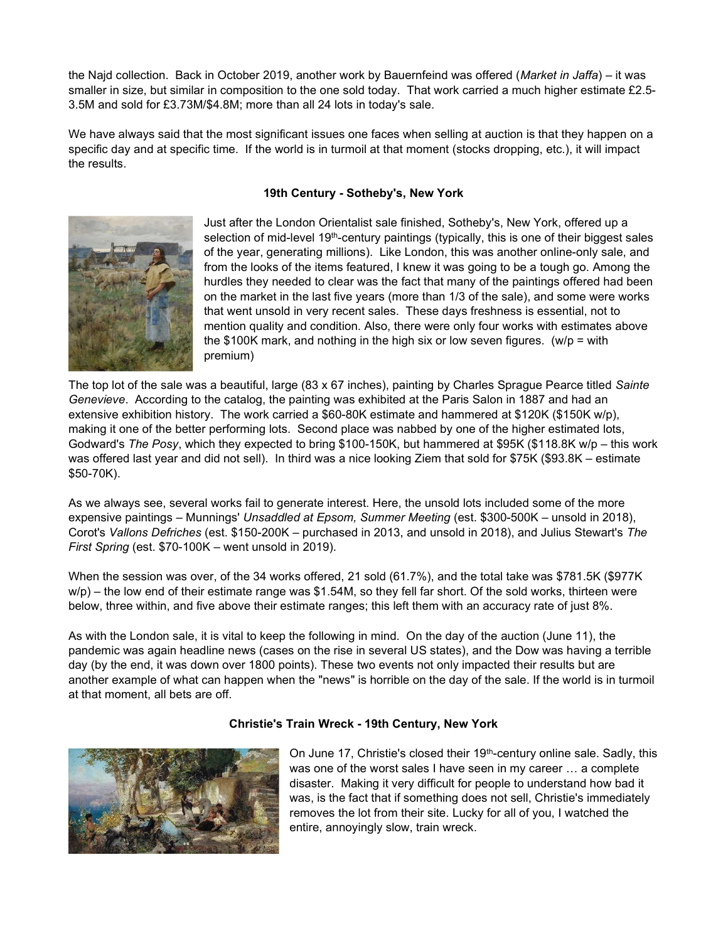the Najd collection. Back in October 2019, another work by Bauernfeind was offered (Market in Jaffa) – it was smaller in size, but similar in composition to the one sold today. That work carried a much higher estimate £2.5- 3.5M and sold for £3.73M/\$4.8M; more than all 24 lots in today's sale.

We have always said that the most significant issues one faces when selling at auction is that they happen on a specific day and at specific time. If the world is in turmoil at that moment (stocks dropping, etc.), it will impact the results.

#### 19th Century - Sotheby's, New York



Just after the London Orientalist sale finished, Sotheby's, New York, offered up a selection of mid-level  $19<sup>th</sup>$ -century paintings (typically, this is one of their biggest sales of the year, generating millions). Like London, this was another online-only sale, and from the looks of the items featured, I knew it was going to be a tough go. Among the hurdles they needed to clear was the fact that many of the paintings offered had been on the market in the last five years (more than 1/3 of the sale), and some were works that went unsold in very recent sales. These days freshness is essential, not to mention quality and condition. Also, there were only four works with estimates above the \$100K mark, and nothing in the high six or low seven figures. (w/p = with premium)

The top lot of the sale was a beautiful, large (83 x 67 inches), painting by Charles Sprague Pearce titled Sainte Genevieve. According to the catalog, the painting was exhibited at the Paris Salon in 1887 and had an extensive exhibition history. The work carried a \$60-80K estimate and hammered at \$120K (\$150K w/p), making it one of the better performing lots. Second place was nabbed by one of the higher estimated lots, Godward's The Posy, which they expected to bring \$100-150K, but hammered at \$95K (\$118.8K w/p – this work was offered last year and did not sell). In third was a nice looking Ziem that sold for \$75K (\$93.8K – estimate \$50-70K).

As we always see, several works fail to generate interest. Here, the unsold lots included some of the more expensive paintings – Munnings' Unsaddled at Epsom, Summer Meeting (est. \$300-500K – unsold in 2018), Corot's Vallons Defriches (est. \$150-200K – purchased in 2013, and unsold in 2018), and Julius Stewart's The First Spring (est. \$70-100K – went unsold in 2019).

When the session was over, of the 34 works offered, 21 sold (61.7%), and the total take was \$781.5K (\$977K) w/p) – the low end of their estimate range was \$1.54M, so they fell far short. Of the sold works, thirteen were below, three within, and five above their estimate ranges; this left them with an accuracy rate of just 8%.

As with the London sale, it is vital to keep the following in mind. On the day of the auction (June 11), the pandemic was again headline news (cases on the rise in several US states), and the Dow was having a terrible day (by the end, it was down over 1800 points). These two events not only impacted their results but are another example of what can happen when the "news" is horrible on the day of the sale. If the world is in turmoil at that moment, all bets are off.

#### Christie's Train Wreck - 19th Century, New York



On June 17, Christie's closed their 19<sup>th</sup>-century online sale. Sadly, this was one of the worst sales I have seen in my career … a complete disaster. Making it very difficult for people to understand how bad it was, is the fact that if something does not sell, Christie's immediately removes the lot from their site. Lucky for all of you, I watched the entire, annoyingly slow, train wreck.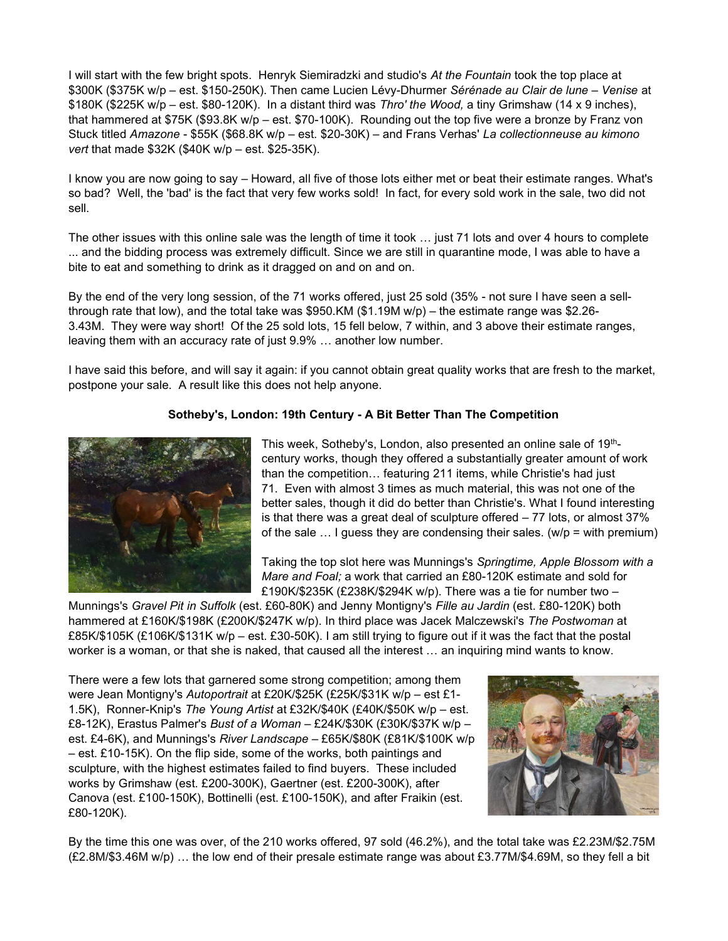I will start with the few bright spots. Henryk Siemiradzki and studio's At the Fountain took the top place at \$300K (\$375K w/p - est. \$150-250K). Then came Lucien Lévy-Dhurmer Sérénade au Clair de lune - Venise at \$180K (\$225K w/p – est. \$80-120K). In a distant third was Thro' the Wood, a tiny Grimshaw (14 x 9 inches), that hammered at \$75K (\$93.8K w/p – est. \$70-100K). Rounding out the top five were a bronze by Franz von Stuck titled Amazone - \$55K (\$68.8K w/p – est. \$20-30K) – and Frans Verhas' La collectionneuse au kimono vert that made \$32K (\$40K w/p – est. \$25-35K).

I know you are now going to say – Howard, all five of those lots either met or beat their estimate ranges. What's so bad? Well, the 'bad' is the fact that very few works sold! In fact, for every sold work in the sale, two did not sell.

The other issues with this online sale was the length of time it took … just 71 lots and over 4 hours to complete ... and the bidding process was extremely difficult. Since we are still in quarantine mode, I was able to have a bite to eat and something to drink as it dragged on and on and on.

By the end of the very long session, of the 71 works offered, just 25 sold (35% - not sure I have seen a sellthrough rate that low), and the total take was \$950.KM (\$1.19M w/p) – the estimate range was \$2.26- 3.43M. They were way short! Of the 25 sold lots, 15 fell below, 7 within, and 3 above their estimate ranges, leaving them with an accuracy rate of just 9.9% … another low number.

I have said this before, and will say it again: if you cannot obtain great quality works that are fresh to the market, postpone your sale. A result like this does not help anyone.

## Sotheby's, London: 19th Century - A Bit Better Than The Competition



This week, Sotheby's, London, also presented an online sale of 19<sup>th</sup>century works, though they offered a substantially greater amount of work than the competition… featuring 211 items, while Christie's had just 71. Even with almost 3 times as much material, this was not one of the better sales, though it did do better than Christie's. What I found interesting is that there was a great deal of sculpture offered – 77 lots, or almost 37% of the sale  $\dots$  I guess they are condensing their sales. (w/p = with premium)

Taking the top slot here was Munnings's Springtime, Apple Blossom with a Mare and Foal; a work that carried an £80-120K estimate and sold for £190K/\$235K (£238K/\$294K w/p). There was a tie for number two –

Munnings's Gravel Pit in Suffolk (est. £60-80K) and Jenny Montigny's Fille au Jardin (est. £80-120K) both hammered at £160K/\$198K (£200K/\$247K w/p). In third place was Jacek Malczewski's The Postwoman at £85K/\$105K (£106K/\$131K w/p – est. £30-50K). I am still trying to figure out if it was the fact that the postal worker is a woman, or that she is naked, that caused all the interest … an inquiring mind wants to know.

There were a few lots that garnered some strong competition; among them were Jean Montigny's Autoportrait at £20K/\$25K (£25K/\$31K w/p – est £1- 1.5K), Ronner-Knip's The Young Artist at £32K/\$40K (£40K/\$50K w/p – est. £8-12K), Erastus Palmer's Bust of a Woman – £24K/\$30K (£30K/\$37K w/p – est. £4-6K), and Munnings's River Landscape – £65K/\$80K (£81K/\$100K w/p – est. £10-15K). On the flip side, some of the works, both paintings and sculpture, with the highest estimates failed to find buyers. These included works by Grimshaw (est. £200-300K), Gaertner (est. £200-300K), after Canova (est. £100-150K), Bottinelli (est. £100-150K), and after Fraikin (est. £80-120K).



By the time this one was over, of the 210 works offered, 97 sold (46.2%), and the total take was £2.23M/\$2.75M (£2.8M/\$3.46M w/p) … the low end of their presale estimate range was about £3.77M/\$4.69M, so they fell a bit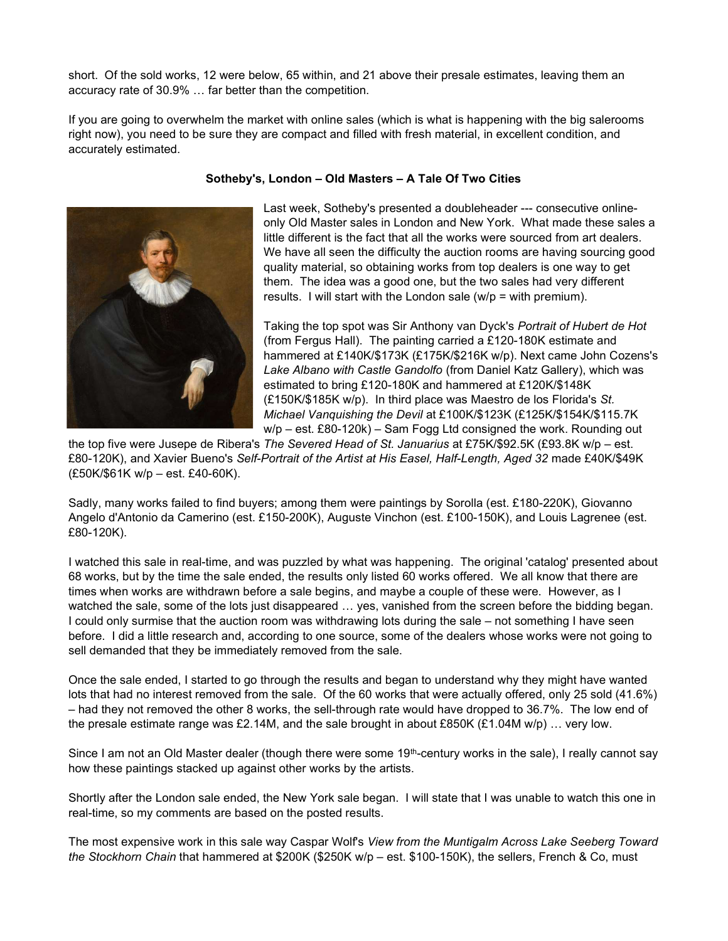short. Of the sold works, 12 were below, 65 within, and 21 above their presale estimates, leaving them an accuracy rate of 30.9% … far better than the competition.

If you are going to overwhelm the market with online sales (which is what is happening with the big salerooms right now), you need to be sure they are compact and filled with fresh material, in excellent condition, and accurately estimated.



#### Sotheby's, London – Old Masters – A Tale Of Two Cities

Last week, Sotheby's presented a doubleheader --- consecutive onlineonly Old Master sales in London and New York. What made these sales a little different is the fact that all the works were sourced from art dealers. We have all seen the difficulty the auction rooms are having sourcing good quality material, so obtaining works from top dealers is one way to get them. The idea was a good one, but the two sales had very different results. I will start with the London sale (w/p = with premium).

Taking the top spot was Sir Anthony van Dyck's Portrait of Hubert de Hot (from Fergus Hall). The painting carried a £120-180K estimate and hammered at £140K/\$173K (£175K/\$216K w/p). Next came John Cozens's Lake Albano with Castle Gandolfo (from Daniel Katz Gallery), which was estimated to bring £120-180K and hammered at £120K/\$148K (£150K/\$185K w/p). In third place was Maestro de los Florida's St. Michael Vanquishing the Devil at £100K/\$123K (£125K/\$154K/\$115.7K  $w/p - est. E80-120k$  – Sam Fogg Ltd consigned the work. Rounding out

the top five were Jusepe de Ribera's The Severed Head of St. Januarius at £75K/\$92.5K (£93.8K w/p - est. £80-120K), and Xavier Bueno's Self-Portrait of the Artist at His Easel, Half-Length, Aged 32 made £40K/\$49K (£50K/\$61K w/p – est. £40-60K).

Sadly, many works failed to find buyers; among them were paintings by Sorolla (est. £180-220K), Giovanno Angelo d'Antonio da Camerino (est. £150-200K), Auguste Vinchon (est. £100-150K), and Louis Lagrenee (est. £80-120K).

I watched this sale in real-time, and was puzzled by what was happening. The original 'catalog' presented about 68 works, but by the time the sale ended, the results only listed 60 works offered. We all know that there are times when works are withdrawn before a sale begins, and maybe a couple of these were. However, as I watched the sale, some of the lots just disappeared … yes, vanished from the screen before the bidding began. I could only surmise that the auction room was withdrawing lots during the sale – not something I have seen before. I did a little research and, according to one source, some of the dealers whose works were not going to sell demanded that they be immediately removed from the sale.

Once the sale ended, I started to go through the results and began to understand why they might have wanted lots that had no interest removed from the sale. Of the 60 works that were actually offered, only 25 sold (41.6%) – had they not removed the other 8 works, the sell-through rate would have dropped to 36.7%. The low end of the presale estimate range was £2.14M, and the sale brought in about £850K (£1.04M w/p) … very low.

Since I am not an Old Master dealer (though there were some 19<sup>th</sup>-century works in the sale), I really cannot say how these paintings stacked up against other works by the artists.

Shortly after the London sale ended, the New York sale began. I will state that I was unable to watch this one in real-time, so my comments are based on the posted results.

The most expensive work in this sale way Caspar Wolf's View from the Muntigalm Across Lake Seeberg Toward the Stockhorn Chain that hammered at \$200K (\$250K w/p - est. \$100-150K), the sellers, French & Co, must